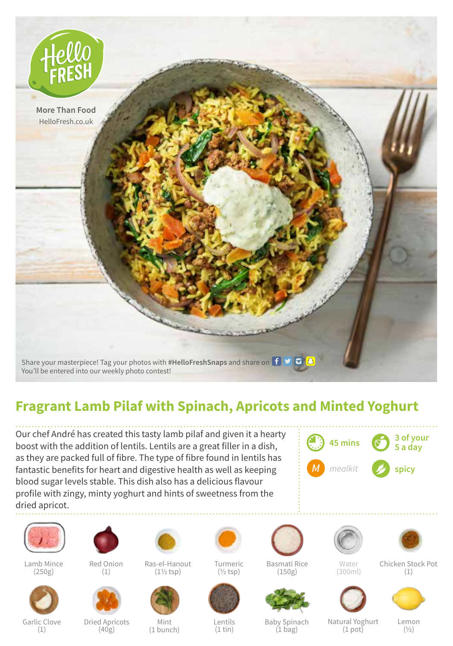

## **Fragrant Lamb Pilaf with Spinach, Apricots and Minted Yoghurt**

Our chef André has created this tasty lamb pilaf and given it a hearty boost with the addition of lentils. Lentils are a great filler in a dish, as they are packed full of fibre. The type of fibre found in lentils has fantastic benefits for heart and digestive health as well as keeping blood sugar levels stable. This dish also has a delicious flavour profile with zingy, minty yoghurt and hints of sweetness from the dried apricot.





Lamb Mince (250g)



Garlic Clove (1)



Red Onion (1)



Dried Apricots (40g)



Ras-el-Hanout (1½ tsp)



Mint (1 bunch)



Turmeric  $(1/2$ tsp $)$ 



Lentils (1 tin)



Basmati Rice (150g)



Baby Spinach  $(1 \text{ bag})$ 

Water (300ml)

Natural Yoghurt  $(1$  pot $)$ 



Chicken Stock Pot (1)



Lemon  $(1/2)$